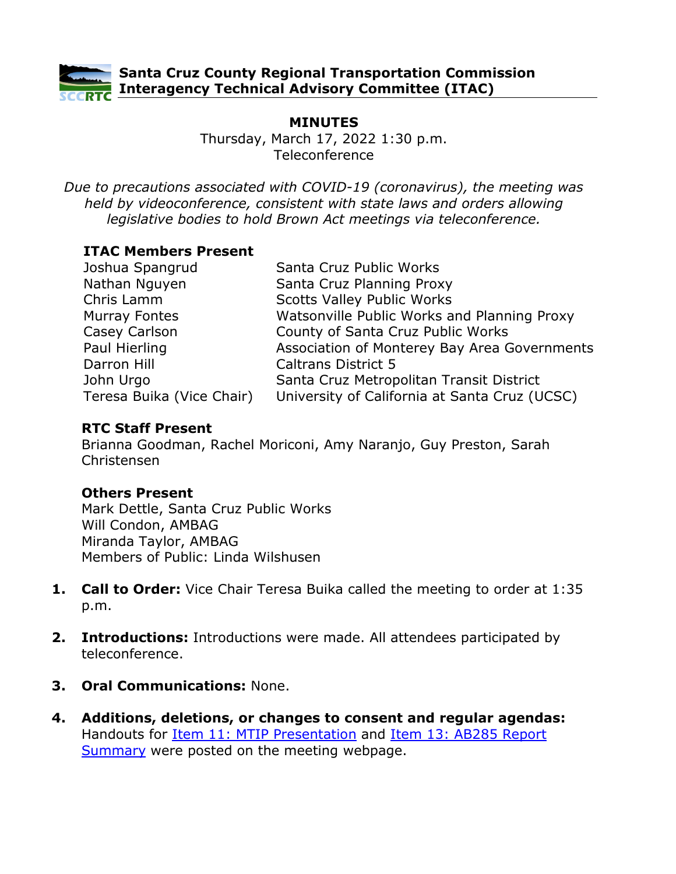

**Santa Cruz County Regional Transportation Commission Interagency Technical Advisory Committee (ITAC)**

# **MINUTES**

Thursday, March 17, 2022 1:30 p.m. Teleconference

*Due to precautions associated with COVID-19 (coronavirus), the meeting was held by videoconference, consistent with state laws and orders allowing legislative bodies to hold Brown Act meetings via teleconference.*

### **ITAC Members Present**

| Joshua Spangrud           | Santa Cruz Public Works                       |
|---------------------------|-----------------------------------------------|
| Nathan Nguyen             | Santa Cruz Planning Proxy                     |
| Chris Lamm                | <b>Scotts Valley Public Works</b>             |
| Murray Fontes             | Watsonville Public Works and Planning Proxy   |
| Casey Carlson             | County of Santa Cruz Public Works             |
| Paul Hierling             | Association of Monterey Bay Area Governments  |
| Darron Hill               | <b>Caltrans District 5</b>                    |
| John Urgo                 | Santa Cruz Metropolitan Transit District      |
| Teresa Buika (Vice Chair) | University of California at Santa Cruz (UCSC) |

### **RTC Staff Present**

Brianna Goodman, Rachel Moriconi, Amy Naranjo, Guy Preston, Sarah Christensen

### **Others Present**

Mark Dettle, Santa Cruz Public Works Will Condon, AMBAG Miranda Taylor, AMBAG Members of Public: Linda Wilshusen

- **1. Call to Order:** Vice Chair Teresa Buika called the meeting to order at 1:35 p.m.
- **2. Introductions:** Introductions were made. All attendees participated by teleconference.
- **3. Oral Communications:** None.
- **4. Additions, deletions, or changes to consent and regular agendas:** Handouts for [Item 11: MTIP Presentation](https://sccrtc.org/wp-content/uploads/2022/03/MTIP-Presentation-ITAC-RTC.pdf) and [Item 13: AB285 Report](https://sccrtc.org/wp-content/uploads/2022/03/AB285-Report-Summary.pdf)  [Summary](https://sccrtc.org/wp-content/uploads/2022/03/AB285-Report-Summary.pdf) were posted on the meeting webpage.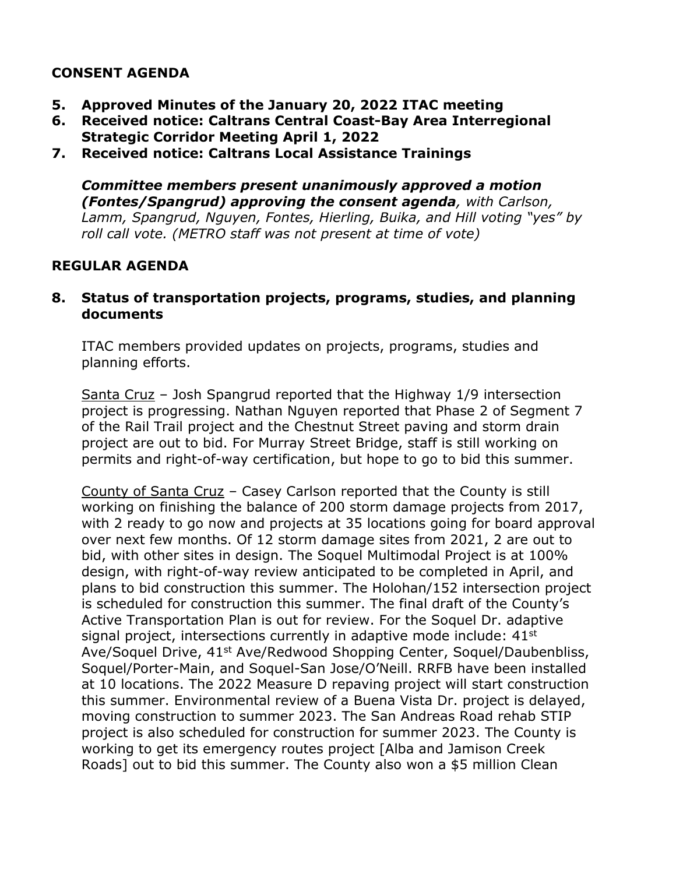# **CONSENT AGENDA**

- **5. Approved Minutes of the January 20, 2022 ITAC meeting**
- **6. Received notice: Caltrans Central Coast-Bay Area Interregional Strategic Corridor Meeting April 1, 2022**
- **7. Received notice: Caltrans Local Assistance Trainings**

*Committee members present unanimously approved a motion (Fontes/Spangrud) approving the consent agenda, with Carlson, Lamm, Spangrud, Nguyen, Fontes, Hierling, Buika, and Hill voting "yes" by roll call vote. (METRO staff was not present at time of vote)*

### **REGULAR AGENDA**

#### **8. Status of transportation projects, programs, studies, and planning documents**

ITAC members provided updates on projects, programs, studies and planning efforts.

Santa Cruz – Josh Spangrud reported that the Highway 1/9 intersection project is progressing. Nathan Nguyen reported that Phase 2 of Segment 7 of the Rail Trail project and the Chestnut Street paving and storm drain project are out to bid. For Murray Street Bridge, staff is still working on permits and right-of-way certification, but hope to go to bid this summer.

County of Santa Cruz – Casey Carlson reported that the County is still working on finishing the balance of 200 storm damage projects from 2017, with 2 ready to go now and projects at 35 locations going for board approval over next few months. Of 12 storm damage sites from 2021, 2 are out to bid, with other sites in design. The Soquel Multimodal Project is at 100% design, with right-of-way review anticipated to be completed in April, and plans to bid construction this summer. The Holohan/152 intersection project is scheduled for construction this summer. The final draft of the County's Active Transportation Plan is out for review. For the Soquel Dr. adaptive signal project, intersections currently in adaptive mode include:  $41<sup>st</sup>$ Ave/Soquel Drive, 41<sup>st</sup> Ave/Redwood Shopping Center, Soquel/Daubenbliss, Soquel/Porter-Main, and Soquel-San Jose/O'Neill. RRFB have been installed at 10 locations. The 2022 Measure D repaving project will start construction this summer. Environmental review of a Buena Vista Dr. project is delayed, moving construction to summer 2023. The San Andreas Road rehab STIP project is also scheduled for construction for summer 2023. The County is working to get its emergency routes project [Alba and Jamison Creek Roads] out to bid this summer. The County also won a \$5 million Clean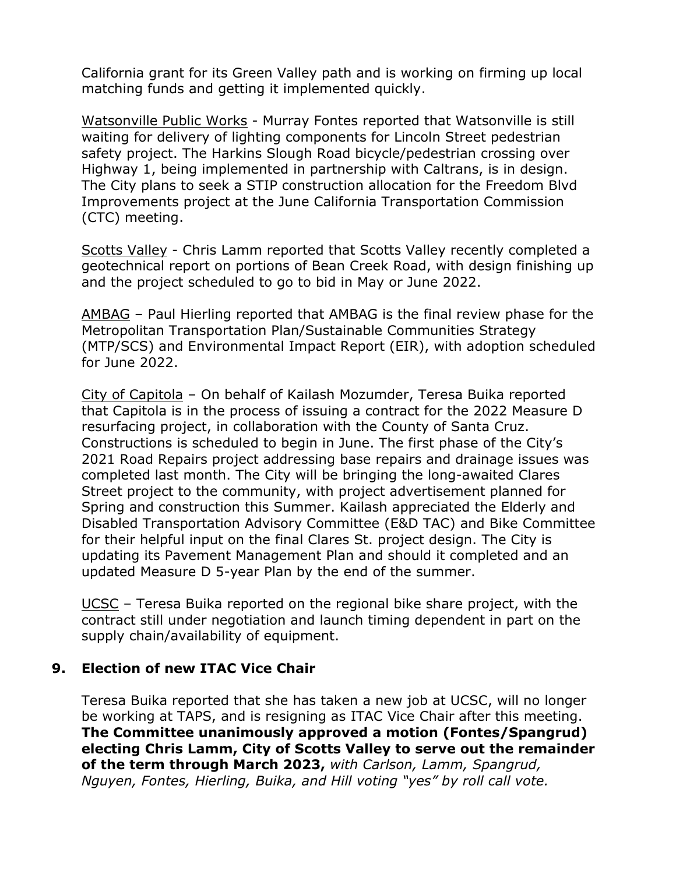California grant for its Green Valley path and is working on firming up local matching funds and getting it implemented quickly.

Watsonville Public Works - Murray Fontes reported that Watsonville is still waiting for delivery of lighting components for Lincoln Street pedestrian safety project. The Harkins Slough Road bicycle/pedestrian crossing over Highway 1, being implemented in partnership with Caltrans, is in design. The City plans to seek a STIP construction allocation for the Freedom Blvd Improvements project at the June California Transportation Commission (CTC) meeting.

Scotts Valley - Chris Lamm reported that Scotts Valley recently completed a geotechnical report on portions of Bean Creek Road, with design finishing up and the project scheduled to go to bid in May or June 2022.

AMBAG – Paul Hierling reported that AMBAG is the final review phase for the Metropolitan Transportation Plan/Sustainable Communities Strategy (MTP/SCS) and Environmental Impact Report (EIR), with adoption scheduled for June 2022.

City of Capitola – On behalf of Kailash Mozumder, Teresa Buika reported that Capitola is in the process of issuing a contract for the 2022 Measure D resurfacing project, in collaboration with the County of Santa Cruz. Constructions is scheduled to begin in June. The first phase of the City's 2021 Road Repairs project addressing base repairs and drainage issues was completed last month. The City will be bringing the long-awaited Clares Street project to the community, with project advertisement planned for Spring and construction this Summer. Kailash appreciated the Elderly and Disabled Transportation Advisory Committee (E&D TAC) and Bike Committee for their helpful input on the final Clares St. project design. The City is updating its Pavement Management Plan and should it completed and an updated Measure D 5-year Plan by the end of the summer.

UCSC – Teresa Buika reported on the regional bike share project, with the contract still under negotiation and launch timing dependent in part on the supply chain/availability of equipment.

# **9. Election of new ITAC Vice Chair**

Teresa Buika reported that she has taken a new job at UCSC, will no longer be working at TAPS, and is resigning as ITAC Vice Chair after this meeting. **The Committee unanimously approved a motion (Fontes/Spangrud) electing Chris Lamm, City of Scotts Valley to serve out the remainder of the term through March 2023,** *with Carlson, Lamm, Spangrud, Nguyen, Fontes, Hierling, Buika, and Hill voting "yes" by roll call vote.*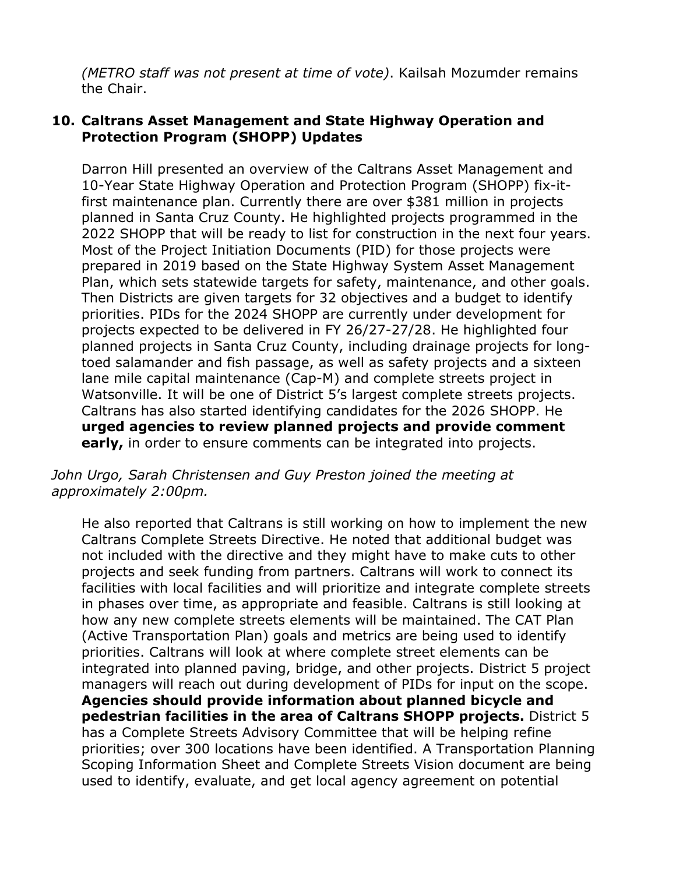*(METRO staff was not present at time of vote)*. Kailsah Mozumder remains the Chair.

### **10. Caltrans Asset Management and State Highway Operation and Protection Program (SHOPP) Updates**

Darron Hill presented an overview of the Caltrans Asset Management and 10-Year State Highway Operation and Protection Program (SHOPP) fix-itfirst maintenance plan. Currently there are over \$381 million in projects planned in Santa Cruz County. He highlighted projects programmed in the 2022 SHOPP that will be ready to list for construction in the next four years. Most of the Project Initiation Documents (PID) for those projects were prepared in 2019 based on the State Highway System Asset Management Plan, which sets statewide targets for safety, maintenance, and other goals. Then Districts are given targets for 32 objectives and a budget to identify priorities. PIDs for the 2024 SHOPP are currently under development for projects expected to be delivered in FY 26/27-27/28. He highlighted four planned projects in Santa Cruz County, including drainage projects for longtoed salamander and fish passage, as well as safety projects and a sixteen lane mile capital maintenance (Cap-M) and complete streets project in Watsonville. It will be one of District 5's largest complete streets projects. Caltrans has also started identifying candidates for the 2026 SHOPP. He **urged agencies to review planned projects and provide comment early,** in order to ensure comments can be integrated into projects.

#### *John Urgo, Sarah Christensen and Guy Preston joined the meeting at approximately 2:00pm.*

He also reported that Caltrans is still working on how to implement the new Caltrans Complete Streets Directive. He noted that additional budget was not included with the directive and they might have to make cuts to other projects and seek funding from partners. Caltrans will work to connect its facilities with local facilities and will prioritize and integrate complete streets in phases over time, as appropriate and feasible. Caltrans is still looking at how any new complete streets elements will be maintained. The CAT Plan (Active Transportation Plan) goals and metrics are being used to identify priorities. Caltrans will look at where complete street elements can be integrated into planned paving, bridge, and other projects. District 5 project managers will reach out during development of PIDs for input on the scope. **Agencies should provide information about planned bicycle and pedestrian facilities in the area of Caltrans SHOPP projects.** District 5 has a Complete Streets Advisory Committee that will be helping refine priorities; over 300 locations have been identified. A Transportation Planning Scoping Information Sheet and Complete Streets Vision document are being used to identify, evaluate, and get local agency agreement on potential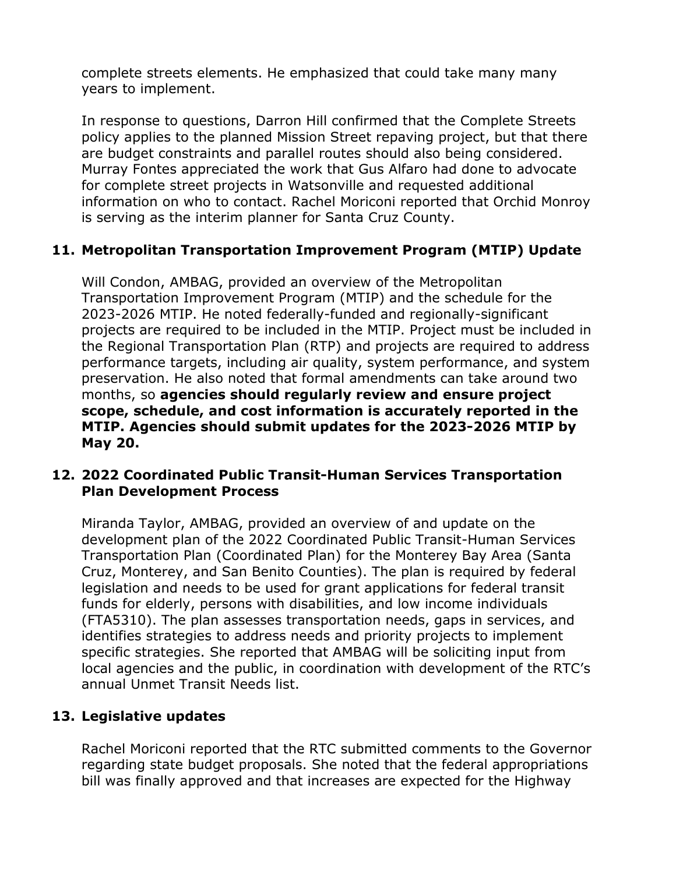complete streets elements. He emphasized that could take many many years to implement.

In response to questions, Darron Hill confirmed that the Complete Streets policy applies to the planned Mission Street repaving project, but that there are budget constraints and parallel routes should also being considered. Murray Fontes appreciated the work that Gus Alfaro had done to advocate for complete street projects in Watsonville and requested additional information on who to contact. Rachel Moriconi reported that Orchid Monroy is serving as the interim planner for Santa Cruz County.

# **11. Metropolitan Transportation Improvement Program (MTIP) Update**

Will Condon, AMBAG, provided an overview of the Metropolitan Transportation Improvement Program (MTIP) and the schedule for the 2023-2026 MTIP. He noted federally-funded and regionally-significant projects are required to be included in the MTIP. Project must be included in the Regional Transportation Plan (RTP) and projects are required to address performance targets, including air quality, system performance, and system preservation. He also noted that formal amendments can take around two months, so **agencies should regularly review and ensure project scope, schedule, and cost information is accurately reported in the MTIP. Agencies should submit updates for the 2023-2026 MTIP by May 20.** 

### **12. 2022 Coordinated Public Transit-Human Services Transportation Plan Development Process**

Miranda Taylor, AMBAG, provided an overview of and update on the development plan of the 2022 Coordinated Public Transit-Human Services Transportation Plan (Coordinated Plan) for the Monterey Bay Area (Santa Cruz, Monterey, and San Benito Counties). The plan is required by federal legislation and needs to be used for grant applications for federal transit funds for elderly, persons with disabilities, and low income individuals (FTA5310). The plan assesses transportation needs, gaps in services, and identifies strategies to address needs and priority projects to implement specific strategies. She reported that AMBAG will be soliciting input from local agencies and the public, in coordination with development of the RTC's annual Unmet Transit Needs list.

### **13. Legislative updates**

Rachel Moriconi reported that the RTC submitted comments to the Governor regarding state budget proposals. She noted that the federal appropriations bill was finally approved and that increases are expected for the Highway